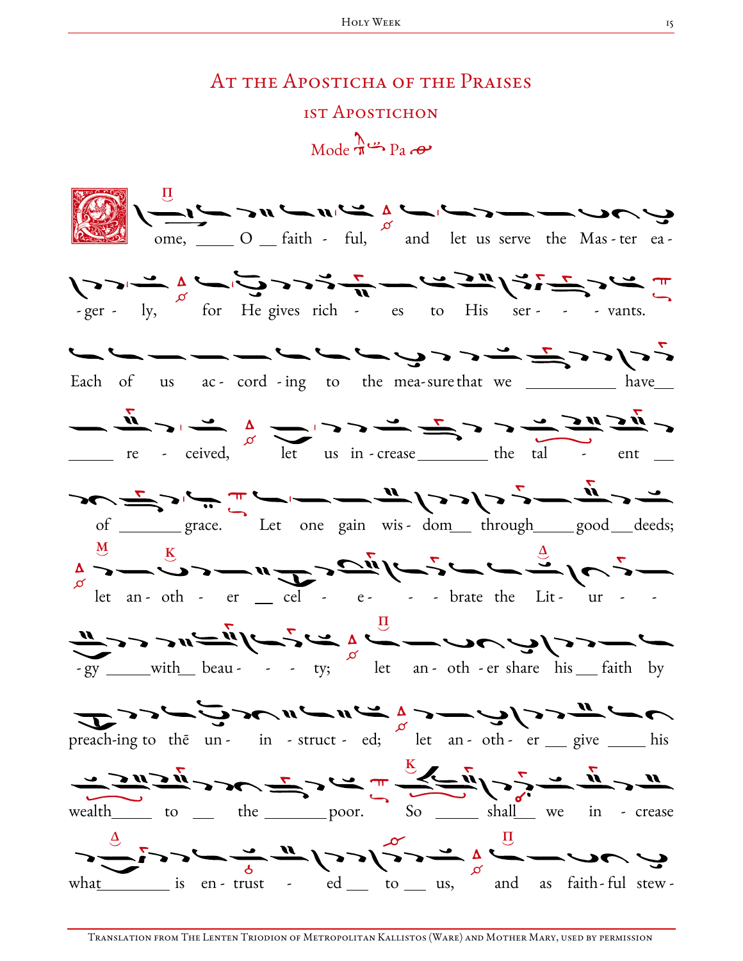## AT THE APOSTICHA OF THE PRAISES 1ST APOSTICHON

 $Mode \xrightarrow{\Lambda} P_3 \xrightarrow{\bullet}$ 

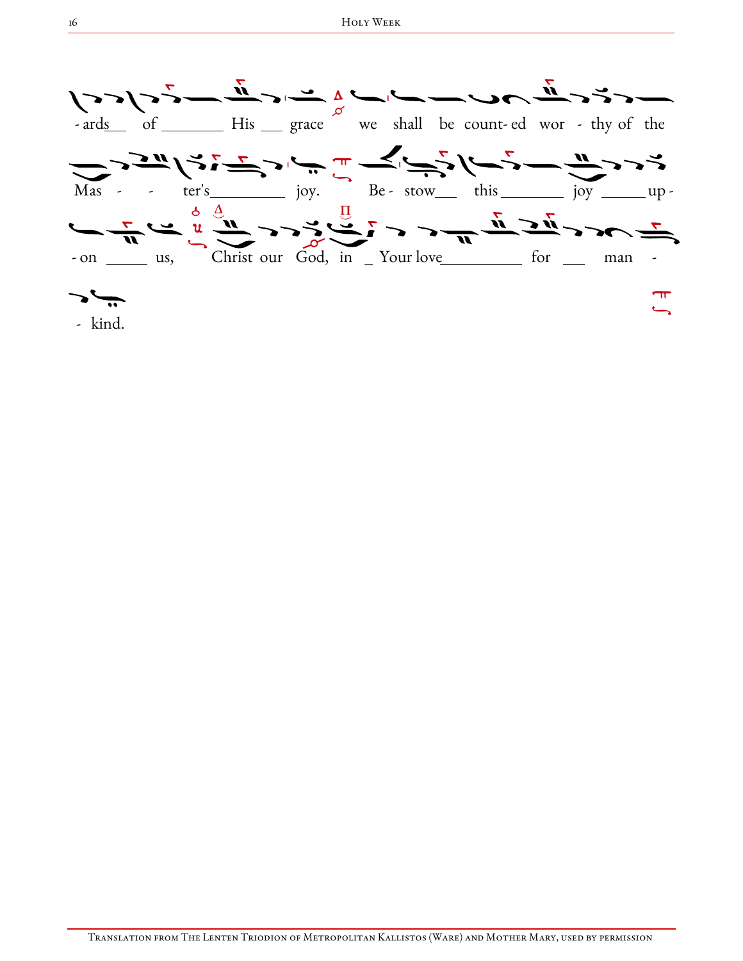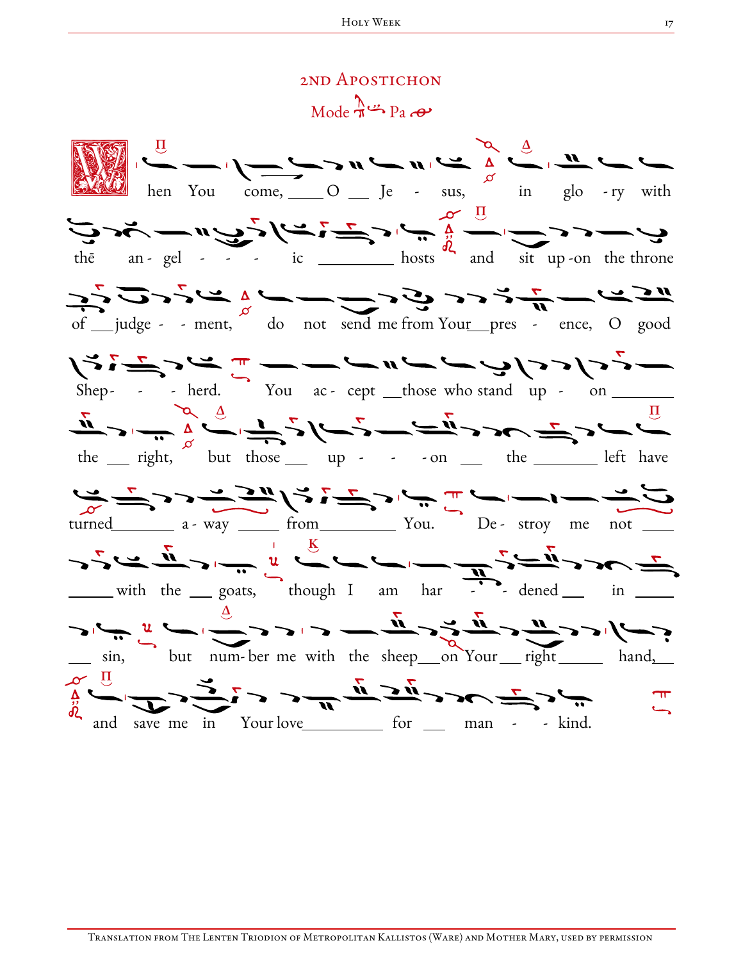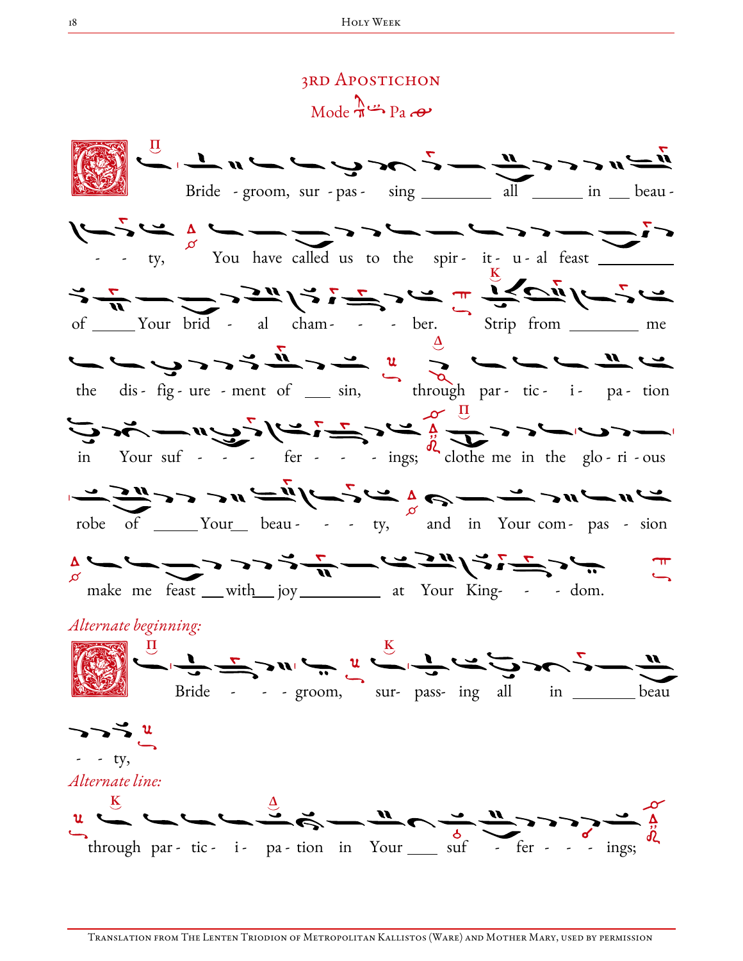## 3rd Apostichon  $Mode \rightarrow Pa$

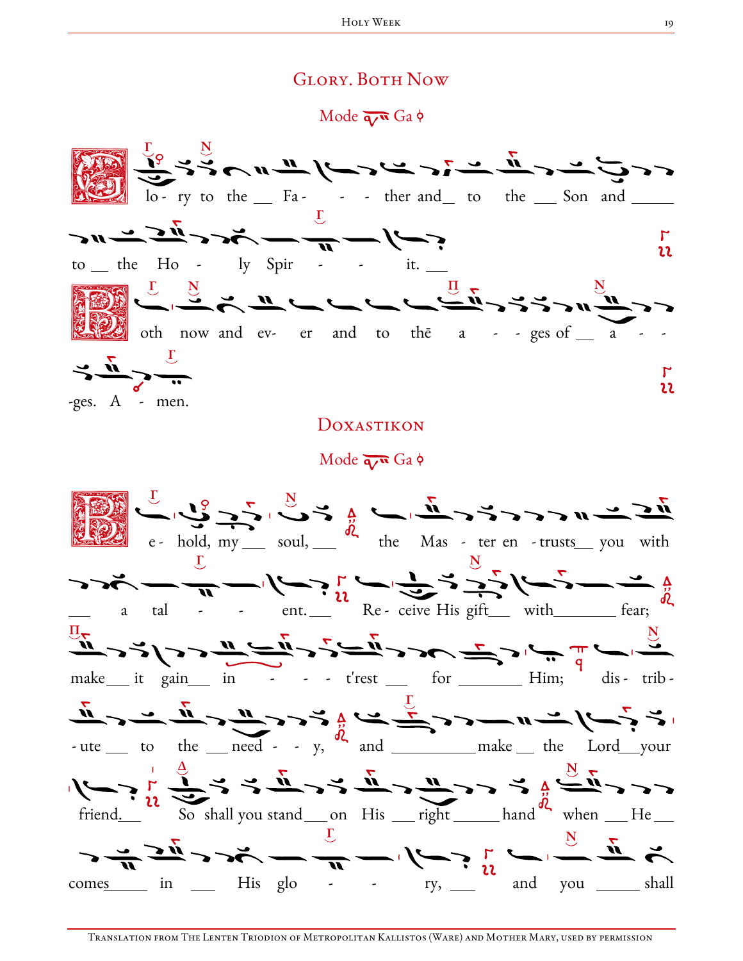## **GLORY. BOTH NOW**

Mode  $\overline{q}$  Ga  $\phi$ 



## DOXASTIKON

Mode  $\overline{q}$  Ga  $\phi$